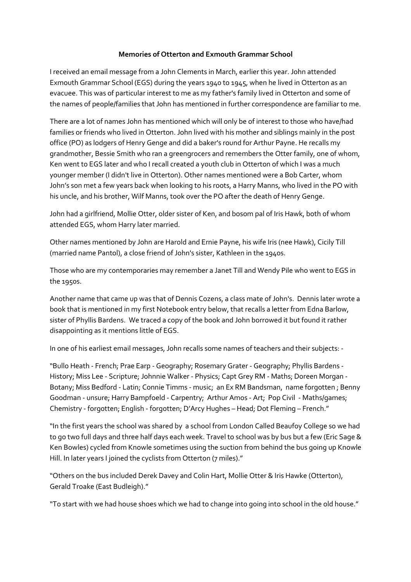## Memories of Otterton and Exmouth Grammar School

I received an email message from a John Clements in March, earlier this year. John attended Exmouth Grammar School (EGS) during the years 1940 to 1945, when he lived in Otterton as an evacuee. This was of particular interest to me as my father's family lived in Otterton and some of the names of people/families that John has mentioned in further correspondence are familiar to me.

There are a lot of names John has mentioned which will only be of interest to those who have/had families or friends who lived in Otterton. John lived with his mother and siblings mainly in the post office (PO) as lodgers of Henry Genge and did a baker's round for Arthur Payne. He recalls my grandmother, Bessie Smith who ran a greengrocers and remembers the Otter family, one of whom, Ken went to EGS later and who I recall created a youth club in Otterton of which I was a much younger member (I didn't live in Otterton). Other names mentioned were a Bob Carter, whom John's son met a few years back when looking to his roots, a Harry Manns, who lived in the PO with his uncle, and his brother, Wilf Manns, took over the PO after the death of Henry Genge.

John had a girlfriend, Mollie Otter, older sister of Ken, and bosom pal of Iris Hawk, both of whom attended EGS, whom Harry later married.

Other names mentioned by John are Harold and Ernie Payne, his wife Iris (nee Hawk), Cicily Till (married name Pantol), a close friend of John's sister, Kathleen in the 1940s.

Those who are my contemporaries may remember a Janet Till and Wendy Pile who went to EGS in the 1950s.

Another name that came up was that of Dennis Cozens, a class mate of John's. Dennis later wrote a book that is mentioned in my first Notebook entry below, that recalls a letter from Edna Barlow, sister of Phyllis Bardens. We traced a copy of the book and John borrowed it but found it rather disappointing as it mentions little of EGS.

In one of his earliest email messages, John recalls some names of teachers and their subjects: -

"Bullo Heath - French; Prae Earp - Geography; Rosemary Grater - Geography; Phyllis Bardens - History; Miss Lee - Scripture; Johnnie Walker - Physics; Capt Grey RM - Maths; Doreen Morgan - Botany; Miss Bedford - Latin; Connie Timms - music; an Ex RM Bandsman, name forgotten ; Benny Goodman - unsure; Harry Bampfoeld - Carpentry; Arthur Amos - Art; Pop Civil - Maths/games; Chemistry - forgotten; English - forgotten; D'Arcy Hughes – Head; Dot Fleming – French."

"In the first years the school was shared by a school from London Called Beaufoy College so we had to go two full days and three half days each week. Travel to school was by bus but a few (Eric Sage & Ken Bowles) cycled from Knowle sometimes using the suction from behind the bus going up Knowle Hill. In later years I joined the cyclists from Otterton (7 miles)."

"Others on the bus included Derek Davey and Colin Hart, Mollie Otter & Iris Hawke (Otterton), Gerald Troake (East Budleigh)."

"To start with we had house shoes which we had to change into going into school in the old house."